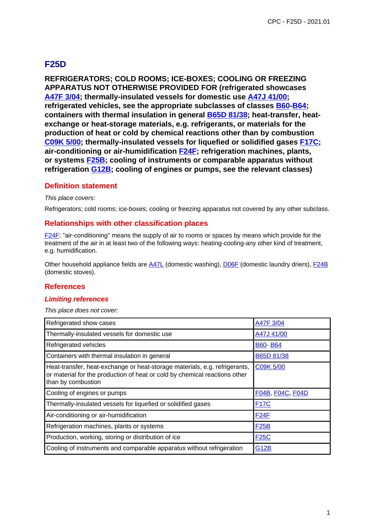# **F25D**

**REFRIGERATORS; COLD ROOMS; ICE-BOXES; COOLING OR FREEZING APPARATUS NOT OTHERWISE PROVIDED FOR (refrigerated showcases A47F 3/04; thermally-insulated vessels for domestic use A47J 41/00; refrigerated vehicles, see the appropriate subclasses of classes B60-B64; containers with thermal insulation in general B65D 81/38; heat-transfer, heatexchange or heat-storage materials, e.g. refrigerants, or materials for the production of heat or cold by chemical reactions other than by combustion C09K 5/00; thermally-insulated vessels for liquefied or solidified gases F17C; air-conditioning or air-humidification F24F; refrigeration machines, plants, or systems F25B; cooling of instruments or comparable apparatus without refrigeration G12B; cooling of engines or pumps, see the relevant classes)**

### **Definition statement**

#### This place covers:

Refrigerators; cold rooms; ice-boxes; cooling or freezing apparatus not covered by any other subclass.

### **Relationships with other classification places**

F24F: "air-conditioning" means the supply of air to rooms or spaces by means which provide for the treatment of the air in at least two of the following ways: heating-cooling-any other kind of treatment, e.g. humidification.

Other household appliance fields are A47L (domestic washing), D06F (domestic laundry driers), F24B (domestic stoves).

#### **References**

#### **Limiting references**

This place does not cover:

| Refrigerated show cases                                                                                                                                                        | A47F 3/04        |
|--------------------------------------------------------------------------------------------------------------------------------------------------------------------------------|------------------|
| Thermally-insulated vessels for domestic use                                                                                                                                   | A47J 41/00       |
| Refrigerated vehicles                                                                                                                                                          | <b>B60-B64</b>   |
| Containers with thermal insulation in general                                                                                                                                  | B65D 81/38       |
| Heat-transfer, heat-exchange or heat-storage materials, e.g. refrigerants,<br>or material for the production of heat or cold by chemical reactions other<br>than by combustion | C09K 5/00        |
| Cooling of engines or pumps                                                                                                                                                    | F04B, F04C, F04D |
| Thermally-insulated vessels for liquefied or solidified gases                                                                                                                  | <b>F17C</b>      |
| Air-conditioning or air-humidification                                                                                                                                         | F24F             |
|                                                                                                                                                                                |                  |
| Refrigeration machines, plants or systems                                                                                                                                      | <b>F25B</b>      |
| Production, working, storing or distribution of ice                                                                                                                            | <b>F25C</b>      |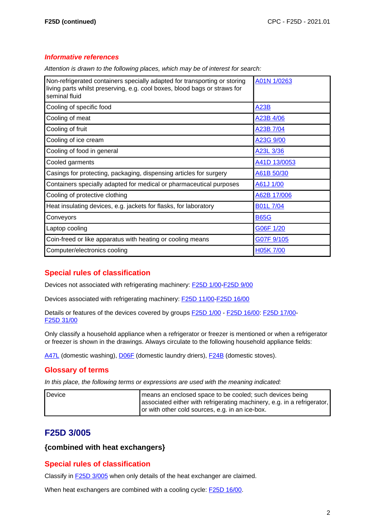#### **Informative references**

Attention is drawn to the following places, which may be of interest for search:

| Non-refrigerated containers specially adapted for transporting or storing<br>living parts whilst preserving, e.g. cool boxes, blood bags or straws for<br>seminal fluid | A01N 1/0263     |
|-------------------------------------------------------------------------------------------------------------------------------------------------------------------------|-----------------|
| Cooling of specific food                                                                                                                                                | A23B            |
| Cooling of meat                                                                                                                                                         | A23B 4/06       |
| Cooling of fruit                                                                                                                                                        | A23B 7/04       |
| Cooling of ice cream                                                                                                                                                    | A23G 9/00       |
| Cooling of food in general                                                                                                                                              | A23L 3/36       |
| Cooled garments                                                                                                                                                         | A41D 13/0053    |
| Casings for protecting, packaging, dispensing articles for surgery                                                                                                      | A61B 50/30      |
| Containers specially adapted for medical or pharmaceutical purposes                                                                                                     | A61J 1/00       |
| Cooling of protective clothing                                                                                                                                          | A62B 17/006     |
| Heat insulating devices, e.g. jackets for flasks, for laboratory                                                                                                        | <b>B01L7/04</b> |
| Conveyors                                                                                                                                                               | <b>B65G</b>     |
| Laptop cooling                                                                                                                                                          | G06F 1/20       |
| Coin-freed or like apparatus with heating or cooling means                                                                                                              | G07F 9/105      |
| Computer/electronics cooling                                                                                                                                            | H05K 7/00       |

# **Special rules of classification**

Devices not associated with refrigerating machinery: **F25D 1/00-F25D 9/00** 

Devices associated with refrigerating machinery: F25D 11/00-F25D 16/00

Details or features of the devices covered by groups F25D 1/00 - F25D 16/00: F25D 17/00- F25D 31/00

Only classify a household appliance when a refrigerator or freezer is mentioned or when a refrigerator or freezer is shown in the drawings. Always circulate to the following household appliance fields:

A47L (domestic washing), D06F (domestic laundry driers), F24B (domestic stoves).

#### **Glossary of terms**

In this place, the following terms or expressions are used with the meaning indicated:

| Device | means an enclosed space to be cooled; such devices being                |
|--------|-------------------------------------------------------------------------|
|        | associated either with refrigerating machinery, e.g. in a refrigerator, |
|        | or with other cold sources, e.g. in an ice-box.                         |

# **F25D 3/005**

#### **{combined with heat exchangers}**

#### **Special rules of classification**

Classify in **F25D 3/005** when only details of the heat exchanger are claimed.

When heat exchangers are combined with a cooling cycle: **F25D 16/00**.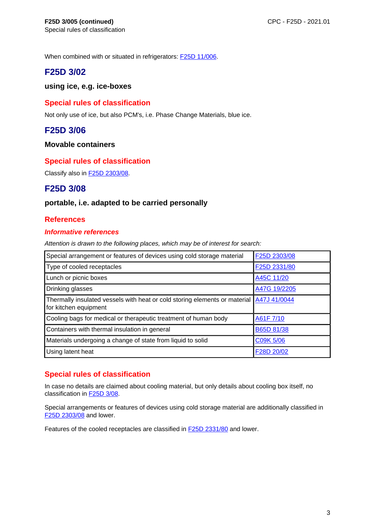When combined with or situated in refrigerators: **F25D 11/006**.

# **F25D 3/02**

### **using ice, e.g. ice-boxes**

# **Special rules of classification**

Not only use of ice, but also PCM's, i.e. Phase Change Materials, blue ice.

# **F25D 3/06**

#### **Movable containers**

# **Special rules of classification**

Classify also in F25D 2303/08.

# **F25D 3/08**

### **portable, i.e. adapted to be carried personally**

### **References**

#### **Informative references**

Attention is drawn to the following places, which may be of interest for search:

| Special arrangement or features of devices using cold storage material                              | F25D 2303/08 |
|-----------------------------------------------------------------------------------------------------|--------------|
| Type of cooled receptacles                                                                          | F25D 2331/80 |
| Lunch or picnic boxes                                                                               | A45C 11/20   |
| Drinking glasses                                                                                    | A47G 19/2205 |
| Thermally insulated vessels with heat or cold storing elements or material<br>for kitchen equipment | A47J 41/0044 |
| Cooling bags for medical or therapeutic treatment of human body                                     | A61F 7/10    |
| Containers with thermal insulation in general                                                       | B65D 81/38   |
| Materials undergoing a change of state from liquid to solid                                         | C09K 5/06    |
| Using latent heat                                                                                   | F28D 20/02   |

# **Special rules of classification**

In case no details are claimed about cooling material, but only details about cooling box itself, no classification in F25D 3/08.

Special arrangements or features of devices using cold storage material are additionally classified in F25D 2303/08 and lower.

Features of the cooled receptacles are classified in F25D 2331/80 and lower.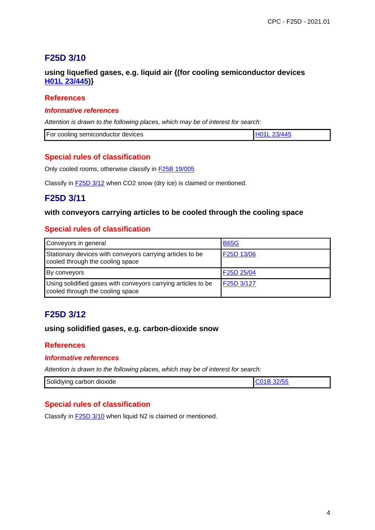# **F25D 3/10**

# **using liquefied gases, e.g. liquid air {(for cooling semiconductor devices H01L 23/445)}**

### **References**

#### **Informative references**

Attention is drawn to the following places, which may be of interest for search:

| For<br>r coolina semiconductor devices. |  |
|-----------------------------------------|--|

### **Special rules of classification**

Only cooled rooms, otherwise classify in F25B 19/005

Classify in **F25D 3/12** when CO2 snow (dry ice) is claimed or mentioned.

# **F25D 3/11**

#### **with conveyors carrying articles to be cooled through the cooling space**

### **Special rules of classification**

| Conveyors in general                                                                              | <b>B65G</b> |
|---------------------------------------------------------------------------------------------------|-------------|
| Stationary devices with conveyors carrying articles to be<br>cooled through the cooling space     | F25D 13/06  |
| By conveyors                                                                                      | F25D 25/04  |
| Using solidified gases with conveyors carrying articles to be<br>cooled through the cooling space | F25D 3/127  |

# **F25D 3/12**

#### **using solidified gases, e.g. carbon-dioxide snow**

#### **References**

#### **Informative references**

Attention is drawn to the following places, which may be of interest for search:

| Solidiying carbon dioxide |  |
|---------------------------|--|

# **Special rules of classification**

Classify in **F25D 3/10** when liquid N2 is claimed or mentioned.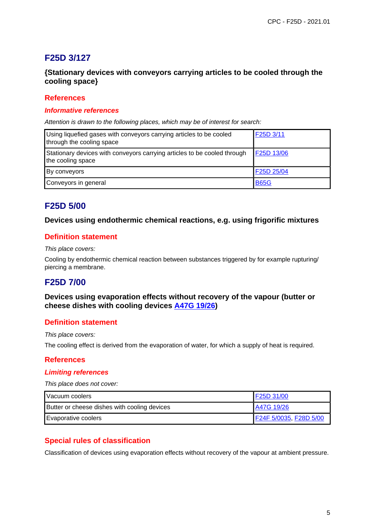# **F25D 3/127**

# **{Stationary devices with conveyors carrying articles to be cooled through the cooling space}**

#### **References**

#### **Informative references**

Attention is drawn to the following places, which may be of interest for search:

| Using liquefied gases with conveyors carrying articles to be cooled<br>through the cooling space | F25D 3/11   |
|--------------------------------------------------------------------------------------------------|-------------|
| Stationary devices with conveyors carrying articles to be cooled through<br>the cooling space    | F25D 13/06  |
| By conveyors                                                                                     | F25D 25/04  |
| Conveyors in general                                                                             | <b>B65G</b> |

# **F25D 5/00**

### **Devices using endothermic chemical reactions, e.g. using frigorific mixtures**

# **Definition statement**

#### This place covers:

Cooling by endothermic chemical reaction between substances triggered by for example rupturing/ piercing a membrane.

# **F25D 7/00**

### **Devices using evaporation effects without recovery of the vapour (butter or cheese dishes with cooling devices A47G 19/26)**

#### **Definition statement**

This place covers:

The cooling effect is derived from the evaporation of water, for which a supply of heat is required.

#### **References**

#### **Limiting references**

This place does not cover:

| Vacuum coolers                               | F25D 31/00             |
|----------------------------------------------|------------------------|
| Butter or cheese dishes with cooling devices | A47G 19/26             |
| Evaporative coolers                          | F24F 5/0035, F28D 5/00 |

# **Special rules of classification**

Classification of devices using evaporation effects without recovery of the vapour at ambient pressure.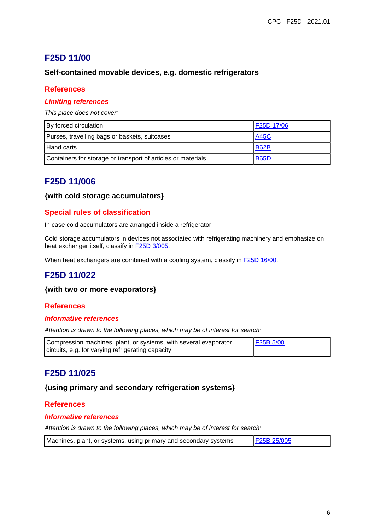# **F25D 11/00**

# **Self-contained movable devices, e.g. domestic refrigerators**

### **References**

#### **Limiting references**

This place does not cover:

| By forced circulation                                        | F25D 17/06  |
|--------------------------------------------------------------|-------------|
| Purses, travelling bags or baskets, suitcases                | <b>A45C</b> |
| <b>Hand carts</b>                                            | <b>B62B</b> |
| Containers for storage or transport of articles or materials | <b>B65D</b> |

# **F25D 11/006**

#### **{with cold storage accumulators}**

# **Special rules of classification**

In case cold accumulators are arranged inside a refrigerator.

Cold storage accumulators in devices not associated with refrigerating machinery and emphasize on heat exchanger itself, classify in **F25D 3/005.** 

When heat exchangers are combined with a cooling system, classify in **F25D 16/00**.

# **F25D 11/022**

#### **{with two or more evaporators}**

# **References**

#### **Informative references**

Attention is drawn to the following places, which may be of interest for search:

| Compression machines, plant, or systems, with several evaporator | <b>F25B 5/00</b> |
|------------------------------------------------------------------|------------------|
| circuits, e.g. for varying refrigerating capacity                |                  |

# **F25D 11/025**

#### **{using primary and secondary refrigeration systems}**

#### **References**

#### **Informative references**

| Machines, plant, or systems, using primary and secondary systems | F25B 25/005 |
|------------------------------------------------------------------|-------------|
|------------------------------------------------------------------|-------------|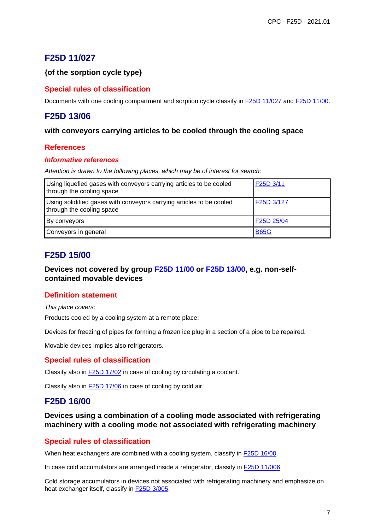# **F25D 11/027**

### **{of the sorption cycle type}**

### **Special rules of classification**

Documents with one cooling compartment and sorption cycle classify in F25D 11/027 and F25D 11/00.

# **F25D 13/06**

#### **with conveyors carrying articles to be cooled through the cooling space**

#### **References**

#### **Informative references**

Attention is drawn to the following places, which may be of interest for search:

| Using liquefied gases with conveyors carrying articles to be cooled<br>through the cooling space  | F25D 3/11   |
|---------------------------------------------------------------------------------------------------|-------------|
| Using solidified gases with conveyors carrying articles to be cooled<br>through the cooling space | F25D 3/127  |
| By conveyors                                                                                      | F25D 25/04  |
| Conveyors in general                                                                              | <b>B65G</b> |

# **F25D 15/00**

### **Devices not covered by group F25D 11/00 or F25D 13/00, e.g. non-selfcontained movable devices**

#### **Definition statement**

This place covers: Products cooled by a cooling system at a remote place;

Devices for freezing of pipes for forming a frozen ice plug in a section of a pipe to be repaired.

Movable devices implies also refrigerators.

#### **Special rules of classification**

Classify also in **F25D 17/02** in case of cooling by circulating a coolant.

Classify also in F25D 17/06 in case of cooling by cold air.

# **F25D 16/00**

**Devices using a combination of a cooling mode associated with refrigerating machinery with a cooling mode not associated with refrigerating machinery**

#### **Special rules of classification**

When heat exchangers are combined with a cooling system, classify in **F25D 16/00**.

In case cold accumulators are arranged inside a refrigerator, classify in **F25D 11/006**.

Cold storage accumulators in devices not associated with refrigerating machinery and emphasize on heat exchanger itself, classify in F25D 3/005.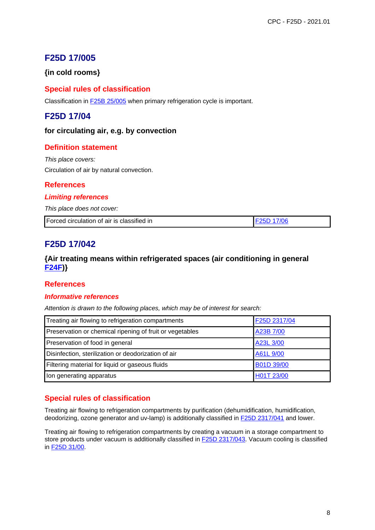# **F25D 17/005**

# **{in cold rooms}**

# **Special rules of classification**

Classification in F25B 25/005 when primary refrigeration cycle is important.

# **F25D 17/04**

#### **for circulating air, e.g. by convection**

### **Definition statement**

This place covers: Circulation of air by natural convection.

### **References**

#### **Limiting references**

This place does not cover:

| Forced circulation of air is classified in | <b>IF25D 17/06</b> |
|--------------------------------------------|--------------------|
|--------------------------------------------|--------------------|

# **F25D 17/042**

### **{Air treating means within refrigerated spaces (air conditioning in general F24F)}**

#### **References**

#### **Informative references**

Attention is drawn to the following places, which may be of interest for search:

| Treating air flowing to refrigeration compartments       | F25D 2317/04 |
|----------------------------------------------------------|--------------|
| Preservation or chemical ripening of fruit or vegetables | A23B 7/00    |
| Preservation of food in general                          | A23L 3/00    |
| Disinfection, sterilization or deodorization of air      | A61L 9/00    |
| Filtering material for liquid or gaseous fluids          | B01D 39/00   |
| Ion generating apparatus                                 | H01T 23/00   |

# **Special rules of classification**

Treating air flowing to refrigeration compartments by purification (dehumidification, humidification, deodorizing, ozone generator and uv-lamp) is additionally classified in F25D 2317/041 and lower.

Treating air flowing to refrigeration compartments by creating a vacuum in a storage compartment to store products under vacuum is additionally classified in F25D 2317/043. Vacuum cooling is classified in F25D 31/00.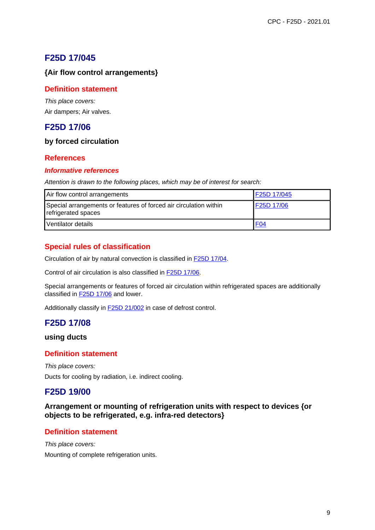# **F25D 17/045**

# **{Air flow control arrangements}**

# **Definition statement**

This place covers: Air dampers; Air valves.

# **F25D 17/06**

# **by forced circulation**

# **References**

### **Informative references**

Attention is drawn to the following places, which may be of interest for search:

| Air flow control arrangements                                                            | F25D 17/045     |
|------------------------------------------------------------------------------------------|-----------------|
| Special arrangements or features of forced air circulation within<br>refrigerated spaces | F25D 17/06      |
| Ventilator details                                                                       | F <sub>04</sub> |

# **Special rules of classification**

Circulation of air by natural convection is classified in F25D 17/04.

Control of air circulation is also classified in F25D 17/06.

Special arrangements or features of forced air circulation within refrigerated spaces are additionally classified in F25D 17/06 and lower.

Additionally classify in **F25D 21/002** in case of defrost control.

# **F25D 17/08**

#### **using ducts**

# **Definition statement**

This place covers: Ducts for cooling by radiation, i.e. indirect cooling.

# **F25D 19/00**

**Arrangement or mounting of refrigeration units with respect to devices {or objects to be refrigerated, e.g. infra-red detectors}**

# **Definition statement**

This place covers: Mounting of complete refrigeration units.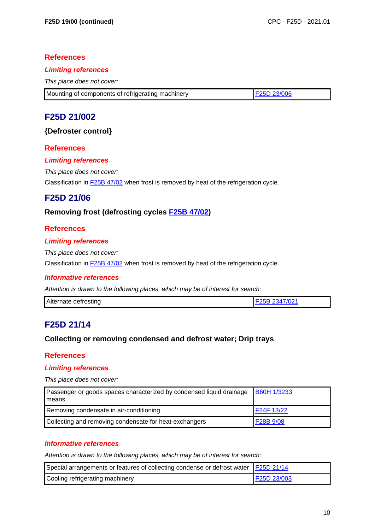### **References**

#### **Limiting references**

This place does not cover:

| Mounting of components of refrigerating machinery | <b>F25D 23/006</b> |
|---------------------------------------------------|--------------------|

# **F25D 21/002**

### **{Defroster control}**

### **References**

#### **Limiting references**

This place does not cover:

Classification in F25B 47/02 when frost is removed by heat of the refrigeration cycle.

# **F25D 21/06**

# **Removing frost (defrosting cycles F25B 47/02)**

### **References**

#### **Limiting references**

This place does not cover:

Classification in **F25B 47/02** when frost is removed by heat of the refrigeration cycle.

#### **Informative references**

Attention is drawn to the following places, which may be of interest for search:

| Alternate defrosting | <sup>2</sup> 021 ا<br>-34 |
|----------------------|---------------------------|
|----------------------|---------------------------|

# **F25D 21/14**

#### **Collecting or removing condensed and defrost water; Drip trays**

#### **References**

#### **Limiting references**

This place does not cover:

| Passenger or goods spaces characterized by condensed liquid drainage<br>Imeans | <b>B60H 1/3233</b> |
|--------------------------------------------------------------------------------|--------------------|
| Removing condensate in air-conditioning                                        | F24F 13/22         |
| Collecting and removing condensate for heat-exchangers                         | F28B 9/08          |

#### **Informative references**

| Special arrangements or features of collecting condense or defrost water   F25D 21/14 |             |
|---------------------------------------------------------------------------------------|-------------|
| Cooling refrigerating machinery                                                       | F25D 23/003 |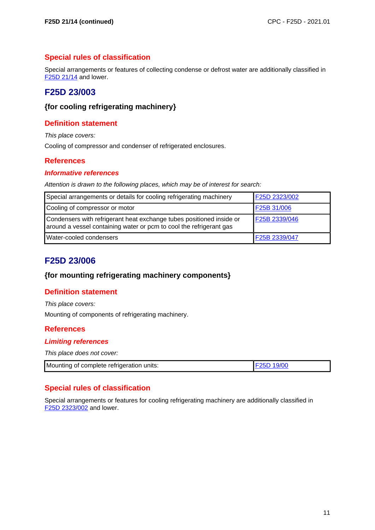# **Special rules of classification**

Special arrangements or features of collecting condense or defrost water are additionally classified in F25D 21/14 and lower.

# **F25D 23/003**

### **{for cooling refrigerating machinery}**

# **Definition statement**

This place covers:

Cooling of compressor and condenser of refrigerated enclosures.

# **References**

#### **Informative references**

Attention is drawn to the following places, which may be of interest for search:

| Special arrangements or details for cooling refrigerating machinery                                                                         | F25D 2323/002 |
|---------------------------------------------------------------------------------------------------------------------------------------------|---------------|
| Cooling of compressor or motor                                                                                                              | F25B 31/006   |
| Condensers with refrigerant heat exchange tubes positioned inside or<br>around a vessel containing water or pcm to cool the refrigerant gas | F25B 2339/046 |
| Water-cooled condensers                                                                                                                     | F25B 2339/047 |

# **F25D 23/006**

#### **{for mounting refrigerating machinery components}**

# **Definition statement**

This place covers:

Mounting of components of refrigerating machinery.

#### **References**

#### **Limiting references**

This place does not cover:

| Mounting of complete refrigeration units: | 19/0 |
|-------------------------------------------|------|
|-------------------------------------------|------|

# **Special rules of classification**

Special arrangements or features for cooling refrigerating machinery are additionally classified in F25D 2323/002 and lower.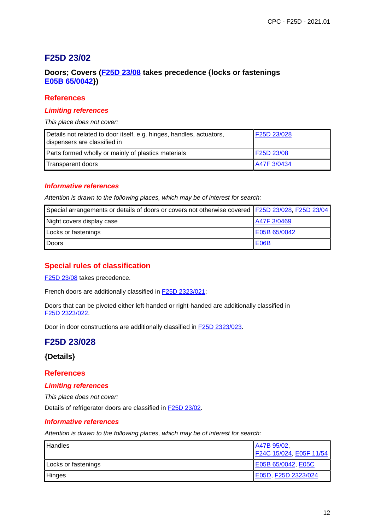# **F25D 23/02**

# **Doors; Covers (F25D 23/08 takes precedence {locks or fastenings E05B 65/0042})**

#### **References**

#### **Limiting references**

This place does not cover:

| Details not related to door itself, e.g. hinges, handles, actuators,<br>dispensers are classified in | F25D 23/028 |
|------------------------------------------------------------------------------------------------------|-------------|
| Parts formed wholly or mainly of plastics materials                                                  | F25D 23/08  |
| Transparent doors                                                                                    | A47F 3/0434 |

#### **Informative references**

Attention is drawn to the following places, which may be of interest for search:

| Special arrangements or details of doors or covers not otherwise covered F25D 23/028, F25D 23/04 |                   |
|--------------------------------------------------------------------------------------------------|-------------------|
| Night covers display case                                                                        | A47F 3/0469       |
| Locks or fastenings                                                                              | E05B 65/0042      |
| <b>I</b> Doors                                                                                   | E <sub>06</sub> B |

# **Special rules of classification**

F<sub>25</sub>D 23/08 takes precedence.

French doors are additionally classified in F25D 2323/021;

Doors that can be pivoted either left-handed or right-handed are additionally classified in F25D 2323/022.

Door in door constructions are additionally classified in F25D 2323/023.

# **F25D 23/028**

#### **{Details}**

#### **References**

#### **Limiting references**

This place does not cover:

Details of refrigerator doors are classified in F25D 23/02.

#### **Informative references**

| <b>Handles</b>      | A47B 95/02,<br>F24C 15/024, E05F 11/54 |
|---------------------|----------------------------------------|
| Locks or fastenings | E05B 65/0042, E05C                     |
| <b>Hinges</b>       | E05D, F25D 2323/024                    |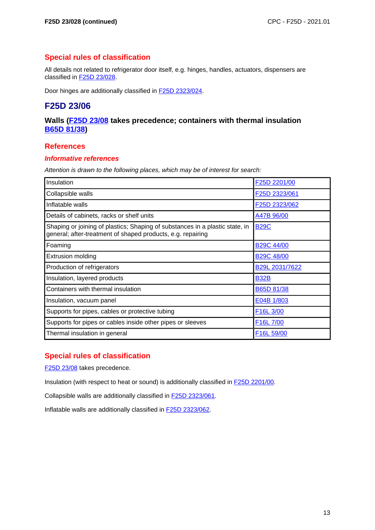# **Special rules of classification**

All details not related to refrigerator door itself, e.g. hinges, handles, actuators, dispensers are classified in F25D 23/028.

Door hinges are additionally classified in F25D 2323/024.

# **F25D 23/06**

### **Walls (F25D 23/08 takes precedence; containers with thermal insulation B65D 81/38)**

### **References**

#### **Informative references**

Attention is drawn to the following places, which may be of interest for search:

| Insulation                                                                                                                                  | F25D 2201/00           |
|---------------------------------------------------------------------------------------------------------------------------------------------|------------------------|
| Collapsible walls                                                                                                                           | F25D 2323/061          |
| Inflatable walls                                                                                                                            | F25D 2323/062          |
| Details of cabinets, racks or shelf units                                                                                                   | A47B 96/00             |
| Shaping or joining of plastics; Shaping of substances in a plastic state, in<br>general; after-treatment of shaped products, e.g. repairing | <b>B29C</b>            |
| Foaming                                                                                                                                     | <b>B29C 44/00</b>      |
| <b>Extrusion molding</b>                                                                                                                    | <b>B29C 48/00</b>      |
| Production of refrigerators                                                                                                                 | B29L 2031/7622         |
| Insulation, layered products                                                                                                                | <b>B32B</b>            |
| Containers with thermal insulation                                                                                                          | B65D 81/38             |
| Insulation, vacuum panel                                                                                                                    | E04B 1/803             |
| Supports for pipes, cables or protective tubing                                                                                             | F <sub>16</sub> L 3/00 |
| Supports for pipes or cables inside other pipes or sleeves                                                                                  | F16L 7/00              |
| Thermal insulation in general                                                                                                               | F16L 59/00             |

# **Special rules of classification**

F<sub>25</sub>D<sub>23</sub>/08 takes precedence.

Insulation (with respect to heat or sound) is additionally classified in F25D 2201/00.

Collapsible walls are additionally classified in F25D 2323/061.

Inflatable walls are additionally classified in F25D 2323/062.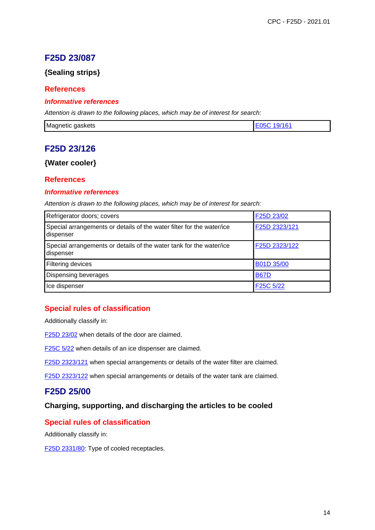# **F25D 23/087**

# **{Sealing strips}**

### **References**

#### **Informative references**

Attention is drawn to the following places, which may be of interest for search:

| Magnetic<br>qaskets<br>- 11 |  |
|-----------------------------|--|
|-----------------------------|--|

# **F25D 23/126**

# **{Water cooler}**

### **References**

#### **Informative references**

Attention is drawn to the following places, which may be of interest for search:

| Refrigerator doors; covers                                                         | F25D 23/02    |
|------------------------------------------------------------------------------------|---------------|
| Special arrangements or details of the water filter for the water/ice<br>dispenser | F25D 2323/121 |
| Special arrangements or details of the water tank for the water/ice<br>dispenser   | F25D 2323/122 |
| Filtering devices                                                                  | B01D 35/00    |
| Dispensing beverages                                                               | <b>B67D</b>   |
| Ice dispenser                                                                      | F25C 5/22     |

# **Special rules of classification**

Additionally classify in:

F25D 23/02 when details of the door are claimed.

F25C 5/22 when details of an ice dispenser are claimed.

F25D 2323/121 when special arrangements or details of the water filter are claimed.

F25D 2323/122 when special arrangements or details of the water tank are claimed.

# **F25D 25/00**

# **Charging, supporting, and discharging the articles to be cooled**

#### **Special rules of classification**

Additionally classify in:

F<sub>25</sub>D <sub>2331/80</sub>: Type of cooled receptacles.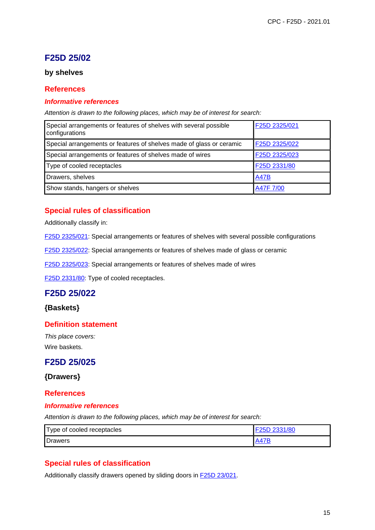# **F25D 25/02**

# **by shelves**

### **References**

#### **Informative references**

Attention is drawn to the following places, which may be of interest for search:

| Special arrangements or features of shelves with several possible<br>configurations | F25D 2325/021 |
|-------------------------------------------------------------------------------------|---------------|
| Special arrangements or features of shelves made of glass or ceramic                | F25D 2325/022 |
| Special arrangements or features of shelves made of wires                           | F25D 2325/023 |
| Type of cooled receptacles                                                          | F25D 2331/80  |
| Drawers, shelves                                                                    | <b>A47B</b>   |
| Show stands, hangers or shelves                                                     | A47F 7/00     |

# **Special rules of classification**

Additionally classify in:

F25D 2325/021: Special arrangements or features of shelves with several possible configurations

F25D 2325/022: Special arrangements or features of shelves made of glass or ceramic

F25D 2325/023: Special arrangements or features of shelves made of wires

F25D 2331/80: Type of cooled receptacles.

# **F25D 25/022**

**{Baskets}**

#### **Definition statement**

This place covers: Wire baskets.

# **F25D 25/025**

**{Drawers}**

#### **References**

#### **Informative references**

Attention is drawn to the following places, which may be of interest for search:

| Type of cooled receptacles | 525D 2331/80 |
|----------------------------|--------------|
| Drawers                    | <b>A47P</b>  |

# **Special rules of classification**

Additionally classify drawers opened by sliding doors in F25D 23/021.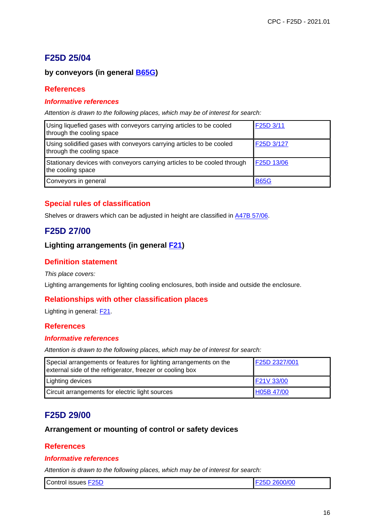# **F25D 25/04**

# **by conveyors (in general B65G)**

### **References**

#### **Informative references**

Attention is drawn to the following places, which may be of interest for search:

| Using liquefied gases with conveyors carrying articles to be cooled<br>through the cooling space  | F25D 3/11   |
|---------------------------------------------------------------------------------------------------|-------------|
| Using solidified gases with conveyors carrying articles to be cooled<br>through the cooling space | F25D 3/127  |
| Stationary devices with conveyors carrying articles to be cooled through<br>the cooling space     | F25D 13/06  |
| Conveyors in general                                                                              | <b>B65G</b> |

# **Special rules of classification**

Shelves or drawers which can be adjusted in height are classified in A47B 57/06.

# **F25D 27/00**

# **Lighting arrangements (in general F21)**

# **Definition statement**

This place covers:

Lighting arrangements for lighting cooling enclosures, both inside and outside the enclosure.

#### **Relationships with other classification places**

Lighting in general: **F21**.

# **References**

#### **Informative references**

Attention is drawn to the following places, which may be of interest for search:

| Special arrangements or features for lighting arrangements on the<br>external side of the refrigerator, freezer or cooling box | F25D 2327/001 |
|--------------------------------------------------------------------------------------------------------------------------------|---------------|
| Lighting devices                                                                                                               | F21V 33/00    |
| Circuit arrangements for electric light sources                                                                                | H05B 47/00    |

# **F25D 29/00**

#### **Arrangement or mounting of control or safety devices**

#### **References**

#### **Informative references**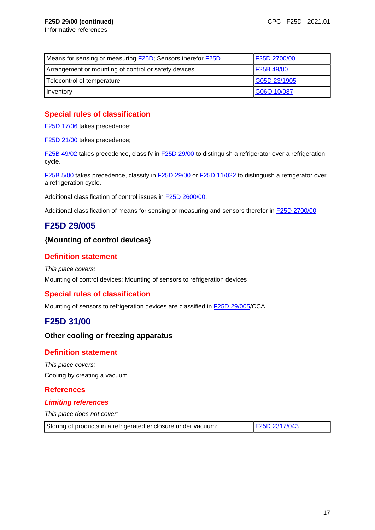| Means for sensing or measuring <b>F25D</b> ; Sensors therefor <b>F25D</b> | F25D 2700/00 |
|---------------------------------------------------------------------------|--------------|
| Arrangement or mounting of control or safety devices                      | F25B 49/00   |
| Telecontrol of temperature                                                | G05D 23/1905 |
| Inventory                                                                 | G06Q 10/087  |

# **Special rules of classification**

F<sub>25</sub>D 17/06 takes precedence;

F<sub>25</sub>D 21/00 takes precedence;

F25B 49/02 takes precedence, classify in F25D 29/00 to distinguish a refrigerator over a refrigeration cycle.

F25B 5/00 takes precedence, classify in F25D 29/00 or F25D 11/022 to distinguish a refrigerator over a refrigeration cycle.

Additional classification of control issues in F25D 2600/00.

Additional classification of means for sensing or measuring and sensors therefor in F25D 2700/00.

# **F25D 29/005**

### **{Mounting of control devices}**

# **Definition statement**

This place covers: Mounting of control devices; Mounting of sensors to refrigeration devices

# **Special rules of classification**

Mounting of sensors to refrigeration devices are classified in F25D 29/005/CCA.

# **F25D 31/00**

#### **Other cooling or freezing apparatus**

#### **Definition statement**

This place covers: Cooling by creating a vacuum.

# **References**

#### **Limiting references**

This place does not cover:

| Storing of products in a refrigerated enclosure under vacuum: | F25D 2317/043 |
|---------------------------------------------------------------|---------------|
|---------------------------------------------------------------|---------------|